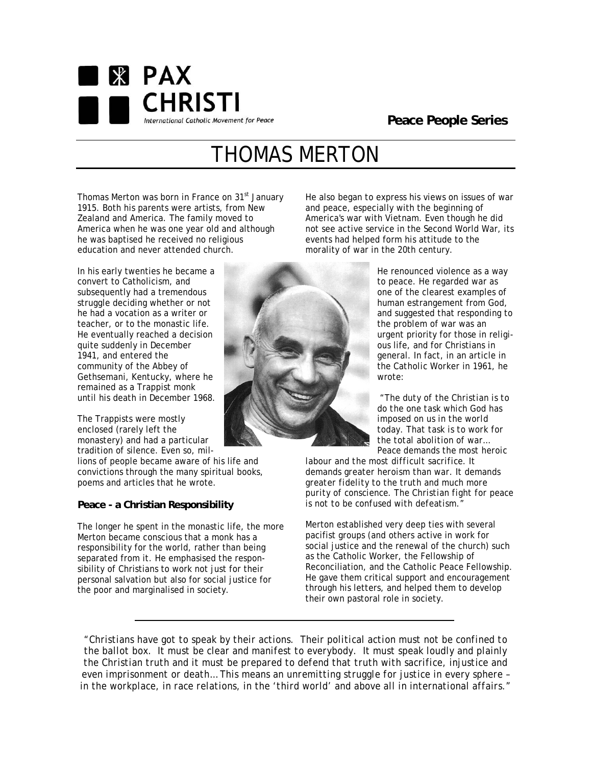

# THOMAS MERTON

Thomas Merton was born in France on 31<sup>st</sup> January 1915. Both his parents were artists, from New Zealand and America. The family moved to America when he was one year old and although he was baptised he received no religious education and never attended church.

In his early twenties he became a convert to Catholicism, and subsequently had a tremendous struggle deciding whether or not he had a vocation as a writer or teacher, or to the monastic life. He eventually reached a decision quite suddenly in December 1941, and entered the community of the Abbey of Gethsemani, Kentucky, where he remained as a Trappist monk until his death in December 1968.

The Trappists were mostly enclosed (rarely left the monastery) and had a particular tradition of silence. Even so, mil-

lions of people became aware of his life and convictions through the many spiritual books, poems and articles that he wrote.

## **Peace - a Christian Responsibility**

The longer he spent in the monastic life, the more Merton became conscious that a monk has a responsibility for the world, rather than being separated from it. He emphasised the responsibility of Christians to work not just for their personal salvation but also for social justice for the poor and marginalised in society.

He also began to express his views on issues of war and peace, especially with the beginning of America's war with Vietnam. Even though he did not see active service in the Second World War, its events had helped form his attitude to the morality of war in the 20th century.

> He renounced violence as a way to peace. He regarded war as one of the clearest examples of human estrangement from God, and suggested that responding to the problem of war was an urgent priority for those in religious life, and for Christians in general. In fact, in an article in the *Catholic Worker* in 1961, he wrote:

 "*The duty of the Christian is to do the one task which God has imposed on us in the world today. That task is to work for the total abolition of war… Peace demands the most heroic* 

*labour and the most difficult sacrifice. It demands greater heroism than war. It demands greater fidelity to the truth and much more purity of conscience. The Christian fight for peace is not to be confused with defeatism."* 

Merton established very deep ties with several pacifist groups (and others active in work for social justice and the renewal of the church) such as the Catholic Worker, the Fellowship of Reconciliation, and the Catholic Peace Fellowship. He gave them critical support and encouragement through his letters, and helped them to develop their own pastoral role in society.

*"Christians have got to speak by their actions. Their political action must not be confined to the ballot box. It must be clear and manifest to everybody. It must speak loudly and plainly the Christian truth and it must be prepared to defend that truth with sacrifice, injustice and even imprisonment or death… This means an unremitting struggle for justice in every sphere – in the workplace, in race relations, in the 'third world' and above all in international affairs."*